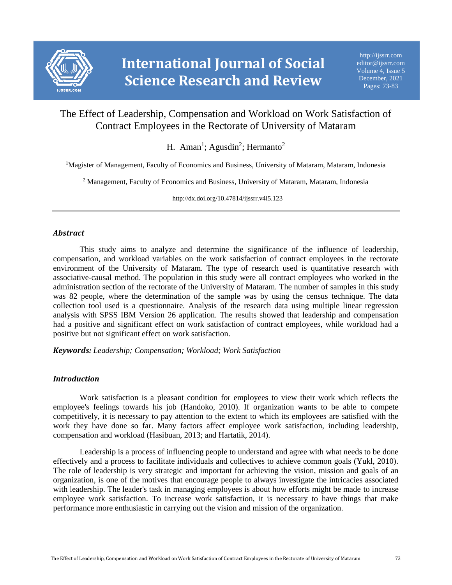

# The Effect of Leadership, Compensation and Workload on Work Satisfaction of Contract Employees in the Rectorate of University of Mataram

H. Aman<sup>1</sup>; Agusdin<sup>2</sup>; Hermanto<sup>2</sup>

<sup>1</sup>Magister of Management, Faculty of Economics and Business, University of Mataram, Mataram, Indonesia

<sup>2</sup> Management, Faculty of Economics and Business, University of Mataram, Mataram, Indonesia

http://dx.doi.org/10.47814/ijssrr.v4i5.123

### *Abstract*

This study aims to analyze and determine the significance of the influence of leadership, compensation, and workload variables on the work satisfaction of contract employees in the rectorate environment of the University of Mataram. The type of research used is quantitative research with associative-causal method. The population in this study were all contract employees who worked in the administration section of the rectorate of the University of Mataram. The number of samples in this study was 82 people, where the determination of the sample was by using the census technique. The data collection tool used is a questionnaire. Analysis of the research data using multiple linear regression analysis with SPSS IBM Version 26 application. The results showed that leadership and compensation had a positive and significant effect on work satisfaction of contract employees, while workload had a positive but not significant effect on work satisfaction.

*Keywords: Leadership; Compensation; Workload; Work Satisfaction*

### *Introduction*

Work satisfaction is a pleasant condition for employees to view their work which reflects the employee's feelings towards his job (Handoko, 2010). If organization wants to be able to compete competitively, it is necessary to pay attention to the extent to which its employees are satisfied with the work they have done so far. Many factors affect employee work satisfaction, including leadership, compensation and workload (Hasibuan, 2013; and Hartatik, 2014).

Leadership is a process of influencing people to understand and agree with what needs to be done effectively and a process to facilitate individuals and collectives to achieve common goals (Yukl, 2010). The role of leadership is very strategic and important for achieving the vision, mission and goals of an organization, is one of the motives that encourage people to always investigate the intricacies associated with leadership. The leader's task in managing employees is about how efforts might be made to increase employee work satisfaction. To increase work satisfaction, it is necessary to have things that make performance more enthusiastic in carrying out the vision and mission of the organization.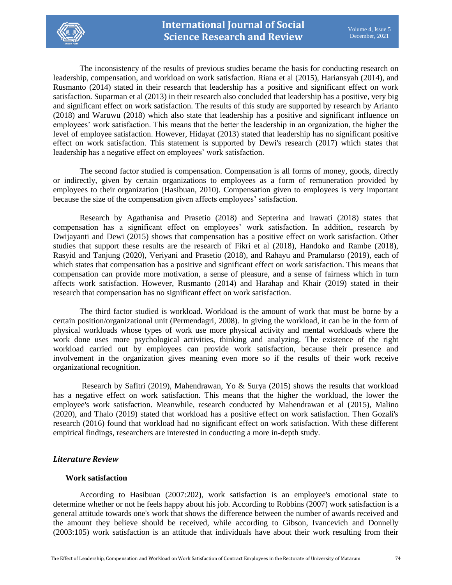

The inconsistency of the results of previous studies became the basis for conducting research on leadership, compensation, and workload on work satisfaction. Riana et al (2015), Hariansyah (2014), and Rusmanto (2014) stated in their research that leadership has a positive and significant effect on work satisfaction. Suparman et al (2013) in their research also concluded that leadership has a positive, very big and significant effect on work satisfaction. The results of this study are supported by research by Arianto (2018) and Waruwu (2018) which also state that leadership has a positive and significant influence on employees' work satisfaction. This means that the better the leadership in an organization, the higher the level of employee satisfaction. However, Hidayat (2013) stated that leadership has no significant positive effect on work satisfaction. This statement is supported by Dewi's research (2017) which states that leadership has a negative effect on employees' work satisfaction.

The second factor studied is compensation. Compensation is all forms of money, goods, directly or indirectly, given by certain organizations to employees as a form of remuneration provided by employees to their organization (Hasibuan, 2010). Compensation given to employees is very important because the size of the compensation given affects employees' satisfaction.

Research by Agathanisa and Prasetio (2018) and Septerina and Irawati (2018) states that compensation has a significant effect on employees' work satisfaction. In addition, research by Dwijayanti and Dewi (2015) shows that compensation has a positive effect on work satisfaction. Other studies that support these results are the research of Fikri et al (2018), Handoko and Rambe (2018), Rasyid and Tanjung (2020), Veriyani and Prasetio (2018), and Rahayu and Pramularso (2019), each of which states that compensation has a positive and significant effect on work satisfaction. This means that compensation can provide more motivation, a sense of pleasure, and a sense of fairness which in turn affects work satisfaction. However, Rusmanto (2014) and Harahap and Khair (2019) stated in their research that compensation has no significant effect on work satisfaction.

The third factor studied is workload. Workload is the amount of work that must be borne by a certain position/organizational unit (Permendagri, 2008). In giving the workload, it can be in the form of physical workloads whose types of work use more physical activity and mental workloads where the work done uses more psychological activities, thinking and analyzing. The existence of the right workload carried out by employees can provide work satisfaction, because their presence and involvement in the organization gives meaning even more so if the results of their work receive organizational recognition.

Research by Safitri (2019), Mahendrawan, Yo & Surya (2015) shows the results that workload has a negative effect on work satisfaction. This means that the higher the workload, the lower the employee's work satisfaction. Meanwhile, research conducted by Mahendrawan et al (2015), Malino (2020), and Thalo (2019) stated that workload has a positive effect on work satisfaction. Then Gozali's research (2016) found that workload had no significant effect on work satisfaction. With these different empirical findings, researchers are interested in conducting a more in-depth study.

### *Literature Review*

### **Work satisfaction**

According to Hasibuan (2007:202), work satisfaction is an employee's emotional state to determine whether or not he feels happy about his job. According to Robbins (2007) work satisfaction is a general attitude towards one's work that shows the difference between the number of awards received and the amount they believe should be received, while according to Gibson, Ivancevich and Donnelly (2003:105) work satisfaction is an attitude that individuals have about their work resulting from their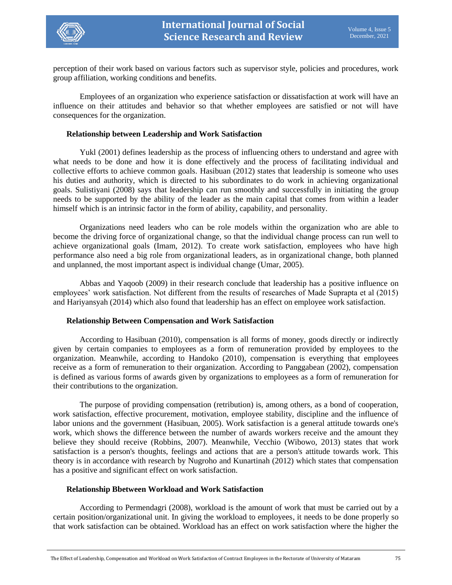

perception of their work based on various factors such as supervisor style, policies and procedures, work group affiliation, working conditions and benefits.

Employees of an organization who experience satisfaction or dissatisfaction at work will have an influence on their attitudes and behavior so that whether employees are satisfied or not will have consequences for the organization.

#### **Relationship between Leadership and Work Satisfaction**

Yukl (2001) defines leadership as the process of influencing others to understand and agree with what needs to be done and how it is done effectively and the process of facilitating individual and collective efforts to achieve common goals. Hasibuan (2012) states that leadership is someone who uses his duties and authority, which is directed to his subordinates to do work in achieving organizational goals. Sulistiyani (2008) says that leadership can run smoothly and successfully in initiating the group needs to be supported by the ability of the leader as the main capital that comes from within a leader himself which is an intrinsic factor in the form of ability, capability, and personality.

Organizations need leaders who can be role models within the organization who are able to become the driving force of organizational change, so that the individual change process can run well to achieve organizational goals (Imam, 2012). To create work satisfaction, employees who have high performance also need a big role from organizational leaders, as in organizational change, both planned and unplanned, the most important aspect is individual change (Umar, 2005).

Abbas and Yaqoob (2009) in their research conclude that leadership has a positive influence on employees' work satisfaction. Not different from the results of researches of Made Suprapta et al (2015) and Hariyansyah (2014) which also found that leadership has an effect on employee work satisfaction.

#### **Relationship Between Compensation and Work Satisfaction**

According to Hasibuan (2010), compensation is all forms of money, goods directly or indirectly given by certain companies to employees as a form of remuneration provided by employees to the organization. Meanwhile, according to Handoko (2010), compensation is everything that employees receive as a form of remuneration to their organization. According to Panggabean (2002), compensation is defined as various forms of awards given by organizations to employees as a form of remuneration for their contributions to the organization.

The purpose of providing compensation (retribution) is, among others, as a bond of cooperation, work satisfaction, effective procurement, motivation, employee stability, discipline and the influence of labor unions and the government (Hasibuan, 2005). Work satisfaction is a general attitude towards one's work, which shows the difference between the number of awards workers receive and the amount they believe they should receive (Robbins, 2007). Meanwhile, Vecchio (Wibowo, 2013) states that work satisfaction is a person's thoughts, feelings and actions that are a person's attitude towards work. This theory is in accordance with research by Nugroho and Kunartinah (2012) which states that compensation has a positive and significant effect on work satisfaction.

#### **Relationship Bbetween Workload and Work Satisfaction**

According to Permendagri (2008), workload is the amount of work that must be carried out by a certain position/organizational unit. In giving the workload to employees, it needs to be done properly so that work satisfaction can be obtained. Workload has an effect on work satisfaction where the higher the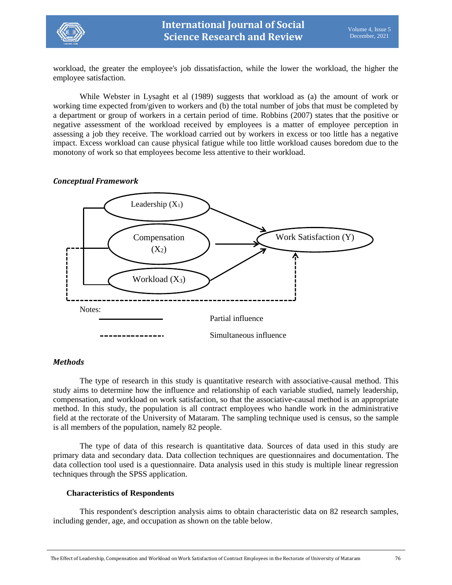

workload, the greater the employee's job dissatisfaction, while the lower the workload, the higher the employee satisfaction.

While Webster in Lysaght et al (1989) suggests that workload as (a) the amount of work or working time expected from/given to workers and (b) the total number of jobs that must be completed by a department or group of workers in a certain period of time. Robbins (2007) states that the positive or negative assessment of the workload received by employees is a matter of employee perception in assessing a job they receive. The workload carried out by workers in excess or too little has a negative impact. Excess workload can cause physical fatigue while too little workload causes boredom due to the monotony of work so that employees become less attentive to their workload.

### *Conceptual Framework*



### *Methods*

The type of research in this study is quantitative research with associative-causal method. This study aims to determine how the influence and relationship of each variable studied, namely leadership, compensation, and workload on work satisfaction, so that the associative-causal method is an appropriate method. In this study, the population is all contract employees who handle work in the administrative field at the rectorate of the University of Mataram. The sampling technique used is census, so the sample is all members of the population, namely 82 people.

The type of data of this research is quantitative data. Sources of data used in this study are primary data and secondary data. Data collection techniques are questionnaires and documentation. The data collection tool used is a questionnaire. Data analysis used in this study is multiple linear regression techniques through the SPSS application.

### **Characteristics of Respondents**

This respondent's description analysis aims to obtain characteristic data on 82 research samples, including gender, age, and occupation as shown on the table below.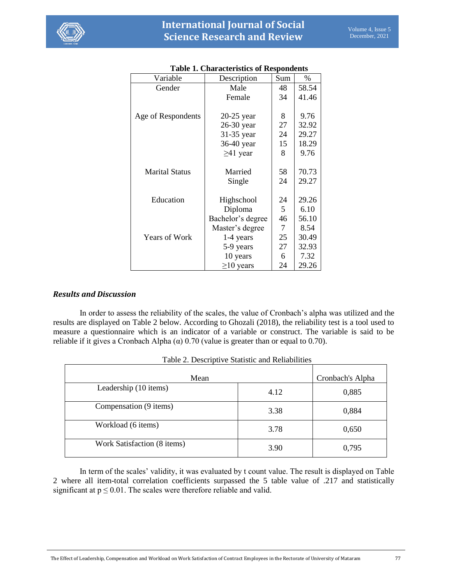

| Variable              | Description       | Sum | $\%$  |
|-----------------------|-------------------|-----|-------|
| Gender                | Male              | 48  | 58.54 |
|                       | Female            | 34  | 41.46 |
|                       |                   |     |       |
| Age of Respondents    | 20-25 year        | 8   | 9.76  |
|                       | 26-30 year        | 27  | 32.92 |
|                       | 31-35 year        | 24  | 29.27 |
|                       | 36-40 year        | 15  | 18.29 |
|                       | $\geq$ 41 year    | 8   | 9.76  |
|                       |                   |     |       |
| <b>Marital Status</b> | Married           | 58  | 70.73 |
|                       | Single            | 24  | 29.27 |
|                       |                   |     |       |
| Education             | Highschool        | 24  | 29.26 |
|                       | Diploma           | 5   | 6.10  |
|                       | Bachelor's degree | 46  | 56.10 |
|                       | Master's degree   | 7   | 8.54  |
| <b>Years of Work</b>  | 1-4 years         | 25  | 30.49 |
|                       | 5-9 years         | 27  | 32.93 |
|                       | 10 years          | 6   | 7.32  |
|                       | $\geq$ 10 years   | 24  | 29.26 |

## **Table 1. Characteristics of Respondents**

## *Results and Discussion*

In order to assess the reliability of the scales, the value of Cronbach's alpha was utilized and the results are displayed on Table 2 below. According to Ghozali (2018), the reliability test is a tool used to measure a questionnaire which is an indicator of a variable or construct. The variable is said to be reliable if it gives a Cronbach Alpha  $(\alpha)$  0.70 (value is greater than or equal to 0.70).

| Mean                        | Cronbach's Alpha |       |  |  |  |  |
|-----------------------------|------------------|-------|--|--|--|--|
| Leadership (10 items)       | 4.12             | 0,885 |  |  |  |  |
| Compensation (9 items)      | 3.38             | 0,884 |  |  |  |  |
| Workload (6 items)          | 3.78             | 0,650 |  |  |  |  |
| Work Satisfaction (8 items) | 3.90             | 0,795 |  |  |  |  |

In term of the scales' validity, it was evaluated by t count value. The result is displayed on Table 2 where all item-total correlation coefficients surpassed the 5 table value of .217 and statistically significant at  $p \le 0.01$ . The scales were therefore reliable and valid.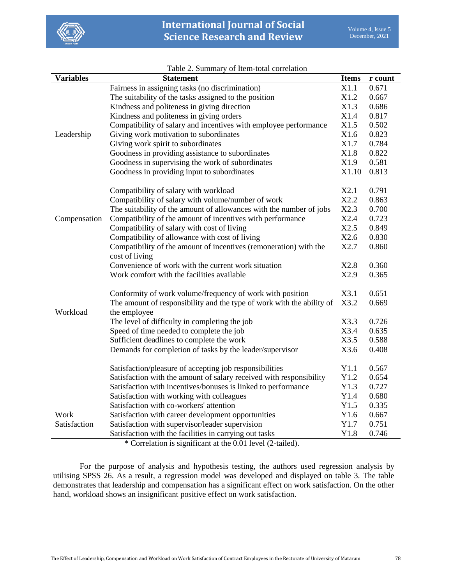

| <b>Variables</b> | Table 2. Building of Refil total correlation<br><b>Statement</b>      | <b>Items</b> |                  |
|------------------|-----------------------------------------------------------------------|--------------|------------------|
|                  |                                                                       | X1.1         | r count<br>0.671 |
|                  | Fairness in assigning tasks (no discrimination)                       |              |                  |
|                  | The suitability of the tasks assigned to the position                 | X1.2<br>X1.3 | 0.667<br>0.686   |
|                  | Kindness and politeness in giving direction                           | X1.4         |                  |
|                  | Kindness and politeness in giving orders                              |              | 0.817            |
|                  | Compatibility of salary and incentives with employee performance      | X1.5         | 0.502            |
| Leadership       | Giving work motivation to subordinates                                | X1.6         | 0.823            |
|                  | Giving work spirit to subordinates                                    | X1.7         | 0.784            |
|                  | Goodness in providing assistance to subordinates                      | X1.8         | 0.822            |
|                  | Goodness in supervising the work of subordinates                      | X1.9         | 0.581            |
|                  | Goodness in providing input to subordinates                           | X1.10        | 0.813            |
|                  | Compatibility of salary with workload                                 | X2.1         | 0.791            |
|                  | Compatibility of salary with volume/number of work                    |              | 0.863            |
|                  | The suitability of the amount of allowances with the number of jobs   | X2.3         | 0.700            |
| Compensation     | Compatibility of the amount of incentives with performance            | X2.4         | 0.723            |
|                  | Compatibility of salary with cost of living                           | X2.5         | 0.849            |
|                  | Compatibility of allowance with cost of living                        | X2.6         | 0.830            |
|                  | Compatibility of the amount of incentives (remoneration) with the     | X2.7         | 0.860            |
|                  | cost of living                                                        |              |                  |
|                  | Convenience of work with the current work situation                   | X2.8         | 0.360            |
|                  | Work comfort with the facilities available                            | X2.9         | 0.365            |
|                  | Conformity of work volume/frequency of work with position             | X3.1         | 0.651            |
|                  | The amount of responsibility and the type of work with the ability of | X3.2         | 0.669            |
| Workload         | the employee                                                          |              |                  |
|                  | The level of difficulty in completing the job                         | X3.3         | 0.726            |
|                  | Speed of time needed to complete the job                              | X3.4         | 0.635            |
|                  | Sufficient deadlines to complete the work                             | X3.5         | 0.588            |
|                  | Demands for completion of tasks by the leader/supervisor              | X3.6         | 0.408            |
|                  |                                                                       |              |                  |
|                  | Satisfaction/pleasure of accepting job responsibilities               | Y1.1         | 0.567            |
|                  | Satisfaction with the amount of salary received with responsibility   | Y1.2         | 0.654            |
|                  | Satisfaction with incentives/bonuses is linked to performance         | Y1.3         | 0.727            |
|                  | Satisfaction with working with colleagues                             | Y1.4         | 0.680            |
|                  | Satisfaction with co-workers' attention                               | Y1.5         | 0.335            |
| Work             | Satisfaction with career development opportunities                    | Y1.6         | 0.667            |
| Satisfaction     | Satisfaction with supervisor/leader supervision                       | Y1.7         | 0.751            |
|                  | Satisfaction with the facilities in carrying out tasks                | Y1.8         | 0.746            |
|                  | * Correlation is significant at the 0.01 level (2-tailed).            |              |                  |

#### Table 2. Summary of Item-total correlation

For the purpose of analysis and hypothesis testing, the authors used regression analysis by utilising SPSS 26. As a result, a regression model was developed and displayed on table 3. The table demonstrates that leadership and compensation has a significant effect on work satisfaction. On the other hand, workload shows an insignificant positive effect on work satisfaction.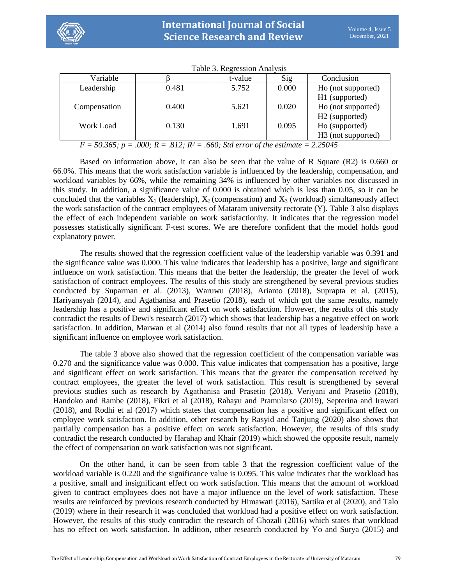

| Variable                                                                                                                                                                                                                                                                                                                                                                                                                                                                                                                        |       | t-value | Sig   | Conclusion                     |  |
|---------------------------------------------------------------------------------------------------------------------------------------------------------------------------------------------------------------------------------------------------------------------------------------------------------------------------------------------------------------------------------------------------------------------------------------------------------------------------------------------------------------------------------|-------|---------|-------|--------------------------------|--|
| Leadership                                                                                                                                                                                                                                                                                                                                                                                                                                                                                                                      | 0.481 | 5.752   | 0.000 | Ho (not supported)             |  |
|                                                                                                                                                                                                                                                                                                                                                                                                                                                                                                                                 |       |         |       | H1 (supported)                 |  |
| Compensation                                                                                                                                                                                                                                                                                                                                                                                                                                                                                                                    | 0.400 | 5.621   | 0.020 | Ho (not supported)             |  |
|                                                                                                                                                                                                                                                                                                                                                                                                                                                                                                                                 |       |         |       | H <sub>2</sub> (supported)     |  |
| Work Load                                                                                                                                                                                                                                                                                                                                                                                                                                                                                                                       | 0.130 | 1.691   | 0.095 | Ho (supported)                 |  |
|                                                                                                                                                                                                                                                                                                                                                                                                                                                                                                                                 |       |         |       | H <sub>3</sub> (not supported) |  |
| 012.52<br>2.25015<br>$E \cap C \subset \Gamma$<br>$\Omega$ $\Omega$ $\Omega$<br>$\epsilon \epsilon \alpha$ $\alpha$ , $\alpha$ , $\alpha$ , $\alpha$ , $\alpha$ , $\alpha$ , $\alpha$ , $\alpha$ , $\alpha$ , $\alpha$ , $\alpha$ , $\alpha$ , $\alpha$ , $\alpha$ , $\alpha$ , $\alpha$ , $\alpha$ , $\alpha$ , $\alpha$ , $\alpha$ , $\alpha$ , $\alpha$ , $\alpha$ , $\alpha$ , $\alpha$ , $\alpha$ , $\alpha$ , $\alpha$ , $\alpha$ , $\alpha$ , $\alpha$ , $\alpha$ , $\alpha$ , $\alpha$ , $\alpha$ , $\$<br>$\mathbf{r}$ |       |         |       |                                |  |

Table 3. Regression Analysis

*F = 50.365; p = .000; R = .812; R² = .660; Std error of the estimate = 2.25045*

Based on information above, it can also be seen that the value of R Square (R2) is 0.660 or 66.0%. This means that the work satisfaction variable is influenced by the leadership, compensation, and workload variables by 66%, while the remaining 34% is influenced by other variables not discussed in this study. In addition, a significance value of 0.000 is obtained which is less than 0.05, so it can be concluded that the variables  $X_1$  (leadership),  $X_2$  (compensation) and  $X_3$  (workload) simultaneously affect the work satisfaction of the contract employees of Mataram university rectorate (Y). Table 3 also displays the effect of each independent variable on work satisfactionity. It indicates that the regression model possesses statistically significant F-test scores. We are therefore confident that the model holds good explanatory power.

The results showed that the regression coefficient value of the leadership variable was 0.391 and the significance value was 0.000. This value indicates that leadership has a positive, large and significant influence on work satisfaction. This means that the better the leadership, the greater the level of work satisfaction of contract employees. The results of this study are strengthened by several previous studies conducted by Suparman et al. (2013), Waruwu (2018), Arianto (2018), Suprapta et al. (2015), Hariyansyah (2014), and Agathanisa and Prasetio (2018), each of which got the same results, namely leadership has a positive and significant effect on work satisfaction. However, the results of this study contradict the results of Dewi's research (2017) which shows that leadership has a negative effect on work satisfaction. In addition, Marwan et al (2014) also found results that not all types of leadership have a significant influence on employee work satisfaction.

The table 3 above also showed that the regression coefficient of the compensation variable was 0.270 and the significance value was 0.000. This value indicates that compensation has a positive, large and significant effect on work satisfaction. This means that the greater the compensation received by contract employees, the greater the level of work satisfaction. This result is strengthened by several previous studies such as research by Agathanisa and Prasetio (2018), Veriyani and Prasetio (2018), Handoko and Rambe (2018), Fikri et al (2018), Rahayu and Pramularso (2019), Septerina and Irawati (2018), and Rodhi et al (2017) which states that compensation has a positive and significant effect on employee work satisfaction. In addition, other research by Rasyid and Tanjung (2020) also shows that partially compensation has a positive effect on work satisfaction. However, the results of this study contradict the research conducted by Harahap and Khair (2019) which showed the opposite result, namely the effect of compensation on work satisfaction was not significant.

On the other hand, it can be seen from table 3 that the regression coefficient value of the workload variable is 0.220 and the significance value is 0.095. This value indicates that the workload has a positive, small and insignificant effect on work satisfaction. This means that the amount of workload given to contract employees does not have a major influence on the level of work satisfaction. These results are reinforced by previous research conducted by Himawati (2016), Sartika et al (2020), and Talo (2019) where in their research it was concluded that workload had a positive effect on work satisfaction. However, the results of this study contradict the research of Ghozali (2016) which states that workload has no effect on work satisfaction. In addition, other research conducted by Yo and Surya (2015) and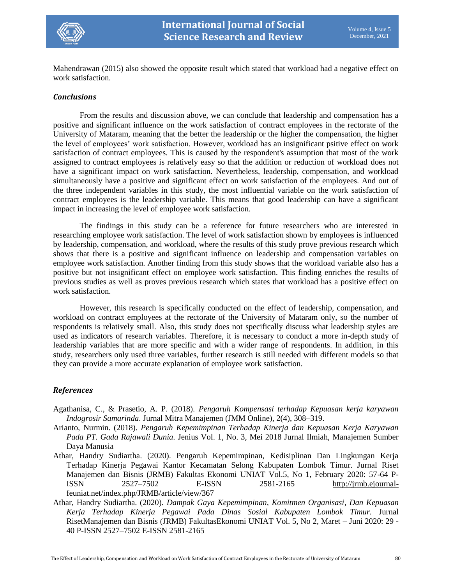

Mahendrawan (2015) also showed the opposite result which stated that workload had a negative effect on work satisfaction.

#### *Conclusions*

From the results and discussion above, we can conclude that leadership and compensation has a positive and significant influence on the work satisfaction of contract employees in the rectorate of the University of Mataram, meaning that the better the leadership or the higher the compensation, the higher the level of employees' work satisfaction. However, workload has an insignificant psitive effect on work satisfaction of contract employees. This is caused by the respondent's assumption that most of the work assigned to contract employees is relatively easy so that the addition or reduction of workload does not have a significant impact on work satisfaction. Nevertheless, leadership, compensation, and workload simultaneously have a positive and significant effect on work satisfaction of the employees. And out of the three independent variables in this study, the most influential variable on the work satisfaction of contract employees is the leadership variable. This means that good leadership can have a significant impact in increasing the level of employee work satisfaction.

The findings in this study can be a reference for future researchers who are interested in researching employee work satisfaction. The level of work satisfaction shown by employees is influenced by leadership, compensation, and workload, where the results of this study prove previous research which shows that there is a positive and significant influence on leadership and compensation variables on employee work satisfaction. Another finding from this study shows that the workload variable also has a positive but not insignificant effect on employee work satisfaction. This finding enriches the results of previous studies as well as proves previous research which states that workload has a positive effect on work satisfaction.

However, this research is specifically conducted on the effect of leadership, compensation, and workload on contract employees at the rectorate of the University of Mataram only, so the number of respondents is relatively small. Also, this study does not specifically discuss what leadership styles are used as indicators of research variables. Therefore, it is necessary to conduct a more in-depth study of leadership variables that are more specific and with a wider range of respondents. In addition, in this study, researchers only used three variables, further research is still needed with different models so that they can provide a more accurate explanation of employee work satisfaction.

### *References*

- Agathanisa, C., & Prasetio, A. P. (2018). *Pengaruh Kompensasi terhadap Kepuasan kerja karyawan Indogrosir Samarinda*. Jurnal Mitra Manajemen (JMM Online), 2(4), 308–319.
- Arianto, Nurmin. (2018). *Pengaruh Kepemimpinan Terhadap Kinerja dan Kepuasan Kerja Karyawan Pada PT. Gada Rajawali Dunia.* Jenius Vol. 1, No. 3, Mei 2018 Jurnal Ilmiah, Manajemen Sumber Daya Manusia
- Athar, Handry Sudiartha. (2020). Pengaruh Kepemimpinan, Kedisiplinan Dan Lingkungan Kerja Terhadap Kinerja Pegawai Kantor Kecamatan Selong Kabupaten Lombok Timur. Jurnal Riset Manajemen dan Bisnis (JRMB) Fakultas Ekonomi UNIAT Vol.5, No 1, February 2020: 57-64 P-ISSN 2527–7502 E-ISSN 2581-2165 [http://jrmb.ejournal](http://jrmb.ejournal-feuniat.net/index.php/JRMB/article/view/367)[feuniat.net/index.php/JRMB/article/view/367](http://jrmb.ejournal-feuniat.net/index.php/JRMB/article/view/367)
- Athar, Handry Sudiartha. (2020). *Dampak Gaya Kepemimpinan, Komitmen Organisasi, Dan Kepuasan Kerja Terhadap Kinerja Pegawai Pada Dinas Sosial Kabupaten Lombok Timur.* Jurnal RisetManajemen dan Bisnis (JRMB) FakultasEkonomi UNIAT Vol. 5, No 2, Maret – Juni 2020: 29 - 40 P-ISSN 2527–7502 E-ISSN 2581-2165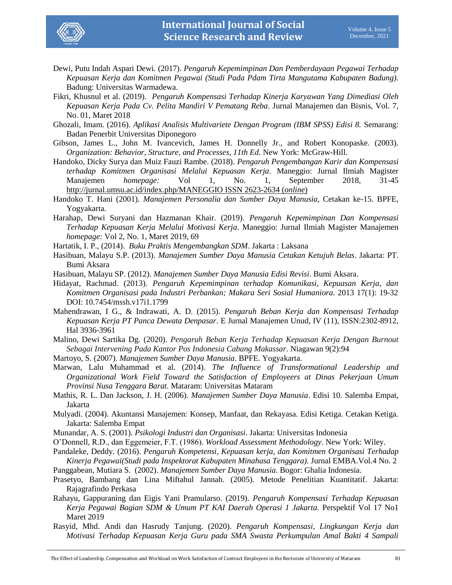

- Dewi, Putu Indah Aspari Dewi. (2017). *Pengaruh Kepemimpinan Dan Pemberdayaan Pegawai Terhadap Kepuasan Kerja dan Komitmen Pegawai (Studi Pada Pdam Tirta Mangutama Kabupaten Badung).* Badung: Universitas Warmadewa.
- Fikri, Khusnul et al. (2019). *Pengaruh Kompensasi Terhadap Kinerja Karyawan Yang Dimediasi Oleh Kepuasan Kerja Pada Cv. Pelita Mandiri V Pematang Reba*. Jurnal Manajemen dan Bisnis, Vol. 7, No. 01, Maret 2018
- Ghozali, Imam. (2016). *Aplikasi Analisis Multivariete Dengan Program (IBM SPSS) Edisi 8.* Semarang: Badan Penerbit Universitas Diponegoro
- Gibson, James L., John M. Ivancevich, James H. Donnelly Jr., and Robert Konopaske. (2003). *Organization: Behavior, Structure, and Processes, 11th Ed*. New York: McGraw-Hill.
- Handoko, Dicky Surya dan Muiz Fauzi Rambe. (2018). *Pengaruh Pengembangan Karir dan Kompensasi terhadap Komitmen Organisasi Melalui Kepuasan Kerja*. Maneggio: Jurnal Ilmiah Magister Manajemen *homepage:* Vol 1, No. 1, September 2018, 31-45 <http://jurnal.umsu.ac.id/index.php/MANEGGIO> ISSN 2623-2634 (*online*)
- Handoko T. Hani (2001). *Manajemen Personalia dan Sumber Daya Manusia*, Cetakan ke-15. BPFE, Yogyakarta.
- Harahap, Dewi Suryani dan Hazmanan Khair. (2019). *Pengaruh Kepemimpinan Dan Kompensasi Terhadap Kepuasan Kerja Melalui Motivasi Kerja*. Maneggio: Jurnal Ilmiah Magister Manajemen *homepage:* Vol 2, No. 1, Maret 2019, 69
- Hartatik, I. P., (2014). *Buku Praktis Mengembangkan SDM*. Jakarta : Laksana
- Hasibuan, Malayu S.P. (2013). *Manajemen Sumber Daya Manusia Cetakan Ketujuh Belas*. Jakarta: PT. Bumi Aksara
- Hasibuan, Malayu SP. (2012). *Manajemen Sumber Daya Manusia Edisi Revisi*. Bumi Aksara.
- Hidayat, Rachmad. (2013). *Pengaruh Kepemimpinan terhadap Komunikasi, Kepuasan Kerja, dan Komitmen Organisasi pada Industri Perbankan; Makara Seri Sosial Humaniora*. 2013 17(1): 19-32 DOI: 10.7454/mssh.v17i1.1799
- Mahendrawan, I G., & Indrawati, A. D. (2015). *Pengaruh Beban Kerja dan Kompensasi Terhadap Kepuasan Kerja PT Panca Dewata Denpasar*. E Jurnal Manajemen Unud, IV (11), ISSN:2302-8912, Hal 3936-3961
- Malino, Dewi Sartika Dg. (2020). *Pengaruh Beban Kerja Terhadap Kepuasan Kerja Dengan Burnout Sebagai Intervening Pada Kantor Pos Indonesia Cabang Makassar*. [Niagawan](https://www.researchgate.net/journal/NIAGAWAN-2301-7775) 9(2):94
- Martoyo, S. (2007). *Manajemen Sumber Daya Manusia*. BPFE. Yogyakarta.
- Marwan, Lalu Muhammad et al. (2014). *The Influence of Transformational Leadership and Organizational Work Field Toward the Satisfaction of Employeers at Dinas Pekerjaan Umum Provinsi Nusa Tenggara Barat.* Mataram: Universitas Mataram
- Mathis, R. L. Dan Jackson, J. H. (2006). *Manajemen Sumber Daya Manusia*. Edisi 10. Salemba Empat, Jakarta
- Mulyadi. (2004). Akuntansi Manajemen: Konsep, Manfaat, dan Rekayasa. Edisi Ketiga. Cetakan Ketiga. Jakarta: Salemba Empat
- Munandar, A. S. (2001). *Psikologi Industri dan Organisasi*. Jakarta: Universitas Indonesia
- O'Donnell, R.D., dan Eggemeier, F.T. (1986). *Workload Assessment Methodology*. New York: Wiley.
- Pandaleke, Deddy. (2016). *Pengaruh Kompetensi, Kepuasan kerja, dan Komitmen Organisasi Terhadap Kinerja Pegawai(Studi pada Inspektorat Kabupaten Minahasa Tenggara).* Jurnal EMBA.Vol.4 No. 2
- Panggabean, Mutiara S. (2002). *Manajemen Sumber Daya Manusia*. Bogor: Ghalia Indonesia.
- Prasetyo, Bambang dan Lina Miftahul Jannah. (2005). Metode Penelitian Kuantitatif. Jakarta: Rajagrafindo Perkasa
- Rahayu, Gappuraning dan Eigis Yani Pramularso. (2019). *Pengaruh Kompensasi Terhadap Kepuasan Kerja Pegawai Bagian SDM & Umum PT KAI Daerah Operasi 1 Jakarta.* Perspektif Vol 17 No1 Maret 2019
- Rasyid, Mhd. Andi dan Hasrudy Tanjung. (2020). *Pengaruh Kompensasi, Lingkungan Kerja dan Motivasi Terhadap Kepuasan Kerja Guru pada SMA Swasta Perkumpulan Amal Bakti 4 Sampali*

The Effect of Leadership, Compensation and Workload on Work Satisfaction of Contract Employees in the Rectorate of University of Mataram 81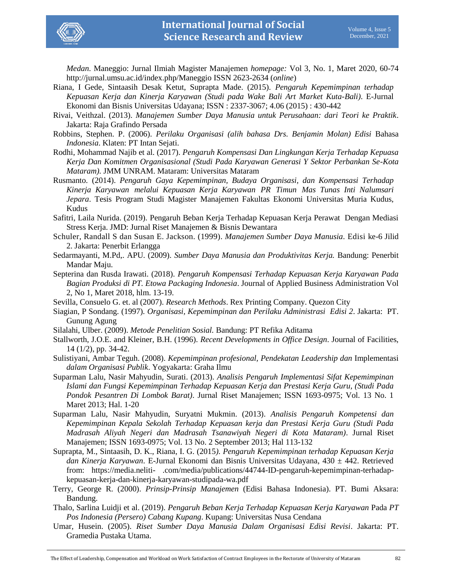

*Medan*. Maneggio: Jurnal Ilmiah Magister Manajemen *homepage:* Vol 3, No. 1, Maret 2020, 60-74 http://jurnal.umsu.ac.id/index.php/Maneggio ISSN 2623-2634 (*online*)

- Riana, I Gede, Sintaasih Desak Ketut, Suprapta Made. (2015). *Pengaruh Kepemimpinan terhadap Kepuasan Kerja dan Kinerja Karyawan (Studi pada Wake Bali Art Market Kuta-Bali)*. [E-Jurnal](https://www.neliti.com/journals/ejurnal-ekonomi-dan-bisnis-universitas-udayana)  [Ekonomi dan Bisnis Universitas Udayana;](https://www.neliti.com/journals/ejurnal-ekonomi-dan-bisnis-universitas-udayana) ISSN : 2337-3067; 4.06 (2015) : 430-442
- Rivai, Veithzal. (2013). *Manajemen Sumber Daya Manusia untuk Perusahaan: dari Teori ke Praktik*. Jakarta: Raja Grafindo Persada
- Robbins, Stephen. P. (2006). *Perilaku Organisasi (alih bahasa Drs. Benjamin Molan) Edisi* Bahasa *Indonesia*. Klaten: PT Intan Sejati.
- Rodhi, Mohammad Najib et al. (2017). *Pengaruh Kompensasi Dan Lingkungan Kerja Terhadap Kepuasa Kerja Dan Komitmen Organisasional (Studi Pada Karyawan Generasi Y Sektor Perbankan Se-Kota Mataram).* JMM UNRAM. Mataram: Universitas Mataram
- Rusmanto. (2014). *Pengaruh Gaya Kepemimpinan, Budaya Organisasi, dan Kompensasi Terhadap Kinerja Karyawan melalui Kepuasan Kerja Karyawan PR Timun Mas Tunas Inti Nalumsari Jepara*. Tesis Program Studi Magister Manajemen Fakultas Ekonomi Universitas Muria Kudus, Kudus
- Safitri, Laila Nurida. (2019). Pengaruh Beban Kerja Terhadap Kepuasan Kerja Perawat Dengan Mediasi Stress Kerja. JMD: Jurnal Riset Manajemen & Bisnis Dewantara
- Schuler, Randall S dan Susan E. Jackson. (1999). *Manajemen Sumber Daya Manusia*. Edisi ke-6 Jilid 2. Jakarta: Penerbit Erlangga
- Sedarmayanti, M.Pd,. APU. (2009). *Sumber Daya Manusia dan Produktivitas Kerja.* Bandung: Penerbit Mandar Maju.
- Septerina dan Rusda Irawati. (2018). *Pengaruh Kompensasi Terhadap Kepuasan Kerja Karyawan Pada Bagian Produksi di PT. Etowa Packaging Indonesia*. Journal of Applied Business Administration Vol 2, No 1, Maret 2018, hlm. 13-19.
- Sevilla, Consuelo G. et. al (2007). *Research Methods*. Rex Printing Company. Quezon City
- Siagian, P Sondang. (1997). *Organisasi, Kepemimpinan dan Perilaku Administrasi Edisi 2*. Jakarta: PT. Gunung Agung
- Silalahi, Ulber. (2009). *Metode Penelitian Sosial.* Bandung: PT Refika Aditama
- Stallworth, J.O.E. and Kleiner, B.H. (1996). *Recent Developments in Office Design*. Journal of Facilities, 14 (1/2), pp. 34-42.
- Sulistiyani, Ambar Teguh. (2008). *Kepemimpinan profesional, Pendekatan Leadership dan* Implementasi *dalam Organisasi Publik*. Yogyakarta: Graha Ilmu
- Suparman Lalu, Nasir Mahyudin, Surati. (2013). *Analisis Pengaruh Implementasi Sifat Kepemimpinan Islami dan Fungsi Kepemimpinan Terhadap Kepuasan Kerja dan Prestasi Kerja Guru, (Studi Pada Pondok Pesantren Di Lombok Barat)*. Jurnal Riset Manajemen; ISSN 1693-0975; Vol. 13 No. 1 Maret 2013; Hal. 1-20
- Suparman Lalu, Nasir Mahyudin, Suryatni Mukmin. (2013). *Analisis Pengaruh Kompetensi dan Kepemimpinan Kepala Sekolah Terhadap Kepuasan kerja dan Prestasi Kerja Guru (Studi Pada Madrasah Aliyah Negeri dan Madrasah Tsanawiyah Negeri di Kota Mataram)*. Jurnal Riset Manajemen; ISSN 1693-0975; Vol. 13 No. 2 September 2013; Hal 113-132
- Suprapta, M., Sintaasih, D. K., Riana, I. G. (2015*). Pengaruh Kepemimpinan terhadap Kepuasan Kerja dan Kinerja Karyawan*. E-Jurnal Ekonomi dan Bisnis Universitas Udayana, 430 ± 442. Retrieved from: https://media.neliti- .com/media/publications/44744-ID-pengaruh-kepemimpinan-terhadapkepuasan-kerja-dan-kinerja-karyawan-studipada-wa.pdf
- Terry, George R. (2000). *Prinsip-Prinsip Manajemen* (Edisi Bahasa Indonesia). PT. Bumi Aksara: Bandung.
- Thalo, Sarlina Luidji et al. (2019). *Pengaruh Beban Kerja Terhadap Kepuasan Kerja Karyawan* Pada *PT Pos Indonesia (Persero) Cabang Kupang*. Kupang: Universitas Nusa Cendana
- Umar, Husein. (2005). *Riset Sumber Daya Manusia Dalam Organisasi Edisi Revisi*. Jakarta: PT. Gramedia Pustaka Utama.

The Effect of Leadership, Compensation and Workload on Work Satisfaction of Contract Employees in the Rectorate of University of Mataram 82